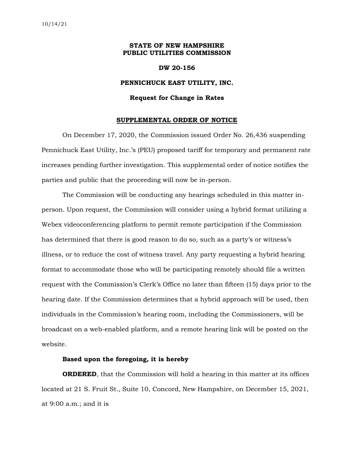## **STATE OF NEW HAMPSHIRE PUBLIC UTILITIES COMMISSION**

### **DW 20-156**

## **PENNICHUCK EAST UTILITY, INC.**

#### **Request for Change in Rates**

#### **SUPPLEMENTAL ORDER OF NOTICE**

On December 17, 2020, the Commission issued Order No. 26,436 suspending Pennichuck East Utility, Inc.'s (PEU) proposed tariff for temporary and permanent rate increases pending further investigation. This supplemental order of notice notifies the parties and public that the proceeding will now be in-person.

The Commission will be conducting any hearings scheduled in this matter inperson. Upon request, the Commission will consider using a hybrid format utilizing a Webex videoconferencing platform to permit remote participation if the Commission has determined that there is good reason to do so, such as a party's or witness's illness, or to reduce the cost of witness travel. Any party requesting a hybrid hearing format to accommodate those who will be participating remotely should file a written request with the Commission's Clerk's Office no later than fifteen (15) days prior to the hearing date. If the Commission determines that a hybrid approach will be used, then individuals in the Commission's hearing room, including the Commissioners, will be broadcast on a web-enabled platform, and a remote hearing link will be posted on the website.

# **Based upon the foregoing, it is hereby**

**ORDERED**, that the Commission will hold a hearing in this matter at its offices located at 21 S. Fruit St., Suite 10, Concord, New Hampshire, on December 15, 2021, at 9:00 a.m.; and it is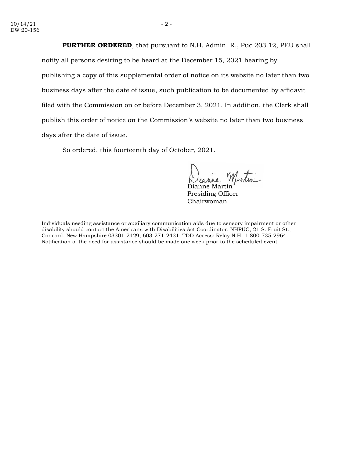**FURTHER ORDERED**, that pursuant to N.H. Admin. R., Puc 203.12, PEU shall notify all persons desiring to be heard at the December 15, 2021 hearing by publishing a copy of this supplemental order of notice on its website no later than two business days after the date of issue, such publication to be documented by affidavit filed with the Commission on or before December 3, 2021. In addition, the Clerk shall publish this order of notice on the Commission's website no later than two business days after the date of issue.

So ordered, this fourteenth day of October, 2021.

Dianne Martin Presiding Officer Chairwoman

Individuals needing assistance or auxiliary communication aids due to sensory impairment or other disability should contact the Americans with Disabilities Act Coordinator, NHPUC, 21 S. Fruit St., Concord, New Hampshire 03301-2429; 603-271-2431; TDD Access: Relay N.H. 1-800-735-2964. Notification of the need for assistance should be made one week prior to the scheduled event.